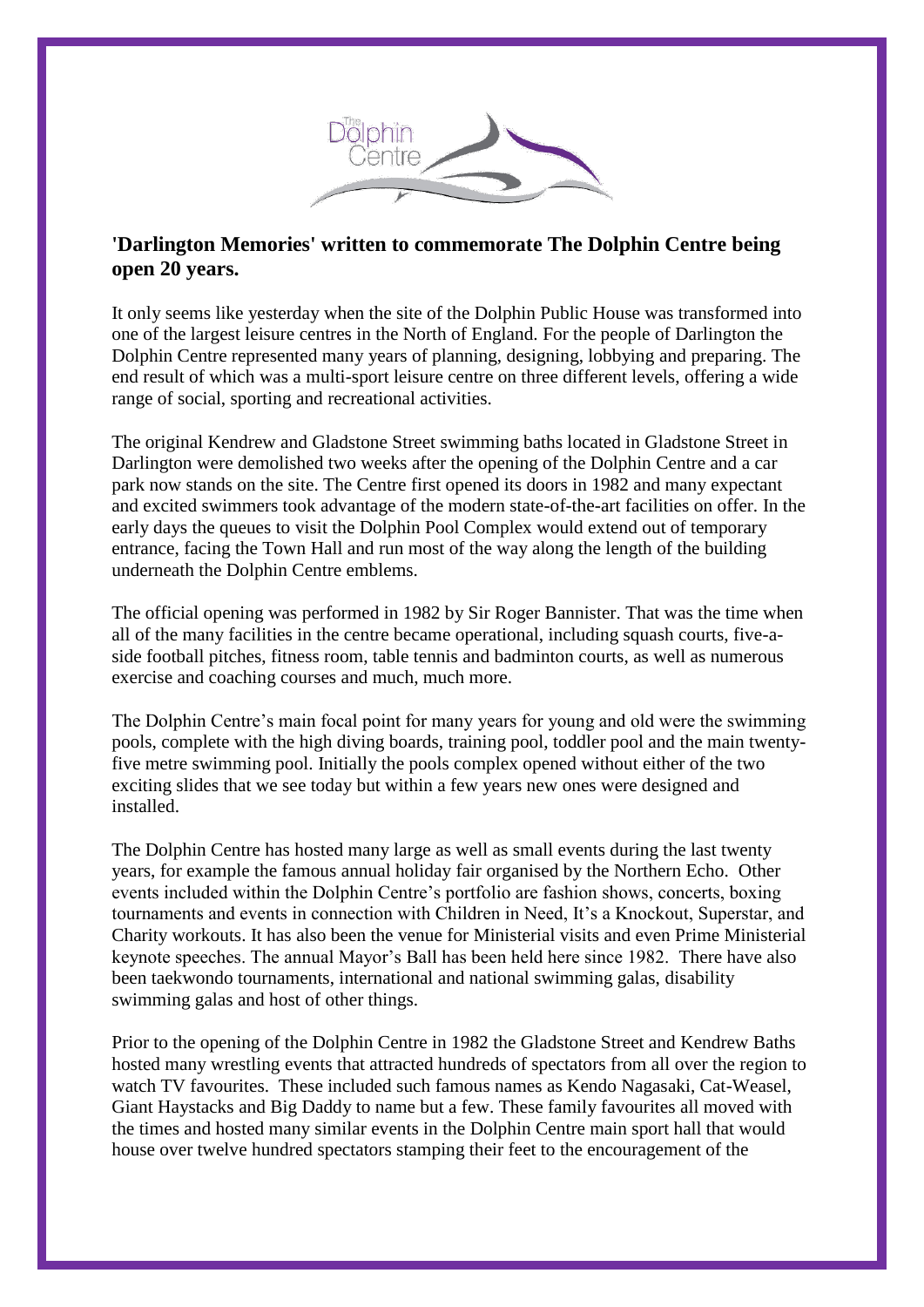

## **'Darlington Memories' written to commemorate The Dolphin Centre being open 20 years.**

It only seems like yesterday when the site of the Dolphin Public House was transformed into one of the largest leisure centres in the North of England. For the people of Darlington the Dolphin Centre represented many years of planning, designing, lobbying and preparing. The end result of which was a multi-sport leisure centre on three different levels, offering a wide range of social, sporting and recreational activities.

The original Kendrew and Gladstone Street swimming baths located in Gladstone Street in Darlington were demolished two weeks after the opening of the Dolphin Centre and a car park now stands on the site. The Centre first opened its doors in 1982 and many expectant and excited swimmers took advantage of the modern state-of-the-art facilities on offer. In the early days the queues to visit the Dolphin Pool Complex would extend out of temporary entrance, facing the Town Hall and run most of the way along the length of the building underneath the Dolphin Centre emblems.

The official opening was performed in 1982 by Sir Roger Bannister. That was the time when all of the many facilities in the centre became operational, including squash courts, five-aside football pitches, fitness room, table tennis and badminton courts, as well as numerous exercise and coaching courses and much, much more.

The Dolphin Centre's main focal point for many years for young and old were the swimming pools, complete with the high diving boards, training pool, toddler pool and the main twentyfive metre swimming pool. Initially the pools complex opened without either of the two exciting slides that we see today but within a few years new ones were designed and installed.

The Dolphin Centre has hosted many large as well as small events during the last twenty years, for example the famous annual holiday fair organised by the Northern Echo. Other events included within the Dolphin Centre's portfolio are fashion shows, concerts, boxing tournaments and events in connection with Children in Need, It's a Knockout, Superstar, and Charity workouts. It has also been the venue for Ministerial visits and even Prime Ministerial keynote speeches. The annual Mayor's Ball has been held here since 1982. There have also been taekwondo tournaments, international and national swimming galas, disability swimming galas and host of other things.

Prior to the opening of the Dolphin Centre in 1982 the Gladstone Street and Kendrew Baths hosted many wrestling events that attracted hundreds of spectators from all over the region to watch TV favourites. These included such famous names as Kendo Nagasaki, Cat-Weasel, Giant Haystacks and Big Daddy to name but a few. These family favourites all moved with the times and hosted many similar events in the Dolphin Centre main sport hall that would house over twelve hundred spectators stamping their feet to the encouragement of the